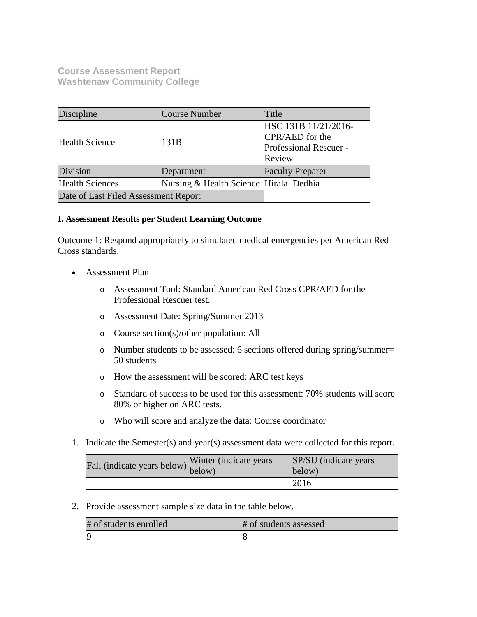**Course Assessment Report Washtenaw Community College**

| Discipline                           | Course Number                           | Title                                                                       |
|--------------------------------------|-----------------------------------------|-----------------------------------------------------------------------------|
| <b>Health Science</b>                | 131B                                    | HSC 131B 11/21/2016-<br>CPR/AED for the<br>Professional Rescuer -<br>Review |
| Division                             | Department                              | <b>Faculty Preparer</b>                                                     |
| <b>Health Sciences</b>               | Nursing & Health Science Hiralal Dedhia |                                                                             |
| Date of Last Filed Assessment Report |                                         |                                                                             |

# **I. Assessment Results per Student Learning Outcome**

Outcome 1: Respond appropriately to simulated medical emergencies per American Red Cross standards.

- Assessment Plan
	- o Assessment Tool: Standard American Red Cross CPR/AED for the Professional Rescuer test.
	- o Assessment Date: Spring/Summer 2013
	- o Course section(s)/other population: All
	- o Number students to be assessed: 6 sections offered during spring/summer= 50 students
	- o How the assessment will be scored: ARC test keys
	- o Standard of success to be used for this assessment: 70% students will score 80% or higher on ARC tests.
	- o Who will score and analyze the data: Course coordinator
- 1. Indicate the Semester(s) and year(s) assessment data were collected for this report.

| rall (indicate years below) below) | Winter (indicate years) | SP/SU (indicate years)<br>below) |
|------------------------------------|-------------------------|----------------------------------|
|                                    |                         | 2016                             |

2. Provide assessment sample size data in the table below.

| # of students enrolled | # of students assessed |
|------------------------|------------------------|
| IC                     |                        |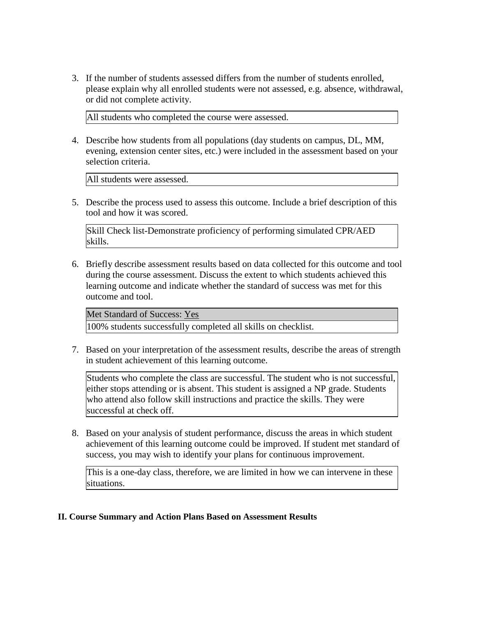3. If the number of students assessed differs from the number of students enrolled, please explain why all enrolled students were not assessed, e.g. absence, withdrawal, or did not complete activity.

All students who completed the course were assessed.

4. Describe how students from all populations (day students on campus, DL, MM, evening, extension center sites, etc.) were included in the assessment based on your selection criteria.

All students were assessed.

5. Describe the process used to assess this outcome. Include a brief description of this tool and how it was scored.

Skill Check list-Demonstrate proficiency of performing simulated CPR/AED skills.

6. Briefly describe assessment results based on data collected for this outcome and tool during the course assessment. Discuss the extent to which students achieved this learning outcome and indicate whether the standard of success was met for this outcome and tool.

Met Standard of Success: Yes

100% students successfully completed all skills on checklist.

7. Based on your interpretation of the assessment results, describe the areas of strength in student achievement of this learning outcome.

Students who complete the class are successful. The student who is not successful, either stops attending or is absent. This student is assigned a NP grade. Students who attend also follow skill instructions and practice the skills. They were successful at check off.

8. Based on your analysis of student performance, discuss the areas in which student achievement of this learning outcome could be improved. If student met standard of success, you may wish to identify your plans for continuous improvement.

This is a one-day class, therefore, we are limited in how we can intervene in these situations.

## **II. Course Summary and Action Plans Based on Assessment Results**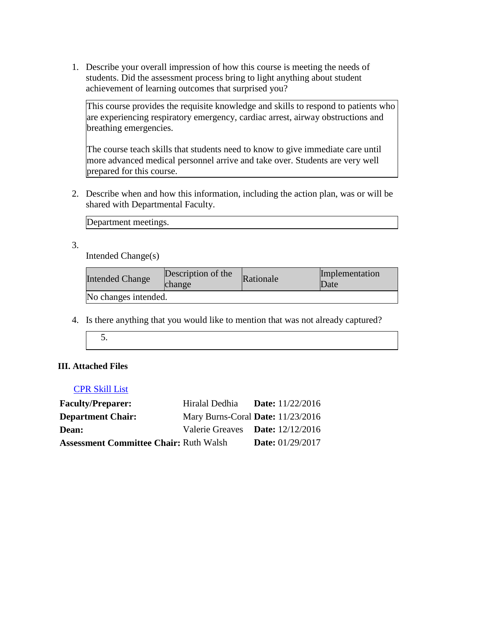1. Describe your overall impression of how this course is meeting the needs of students. Did the assessment process bring to light anything about student achievement of learning outcomes that surprised you?

This course provides the requisite knowledge and skills to respond to patients who are experiencing respiratory emergency, cardiac arrest, airway obstructions and breathing emergencies.

The course teach skills that students need to know to give immediate care until more advanced medical personnel arrive and take over. Students are very well prepared for this course.

2. Describe when and how this information, including the action plan, was or will be shared with Departmental Faculty.

Department meetings.

3.

Intended Change(s)

| <b>Intended Change</b> | Description of the<br><b>change</b> | Rationale | Implementation<br>Date |
|------------------------|-------------------------------------|-----------|------------------------|
| No changes intended.   |                                     |           |                        |

- 4. Is there anything that you would like to mention that was not already captured?
	- 5.

# **III. Attached Files**

# CPR Skill List

| <b>Faculty/Preparer:</b>                      | Hiralal Dedhia                    | <b>Date:</b> $11/22/2016$ |
|-----------------------------------------------|-----------------------------------|---------------------------|
| <b>Department Chair:</b>                      | Mary Burns-Coral Date: 11/23/2016 |                           |
| <b>Dean:</b>                                  | Valerie Greaves Date: 12/12/2016  |                           |
| <b>Assessment Committee Chair: Ruth Walsh</b> |                                   | <b>Date:</b> 01/29/2017   |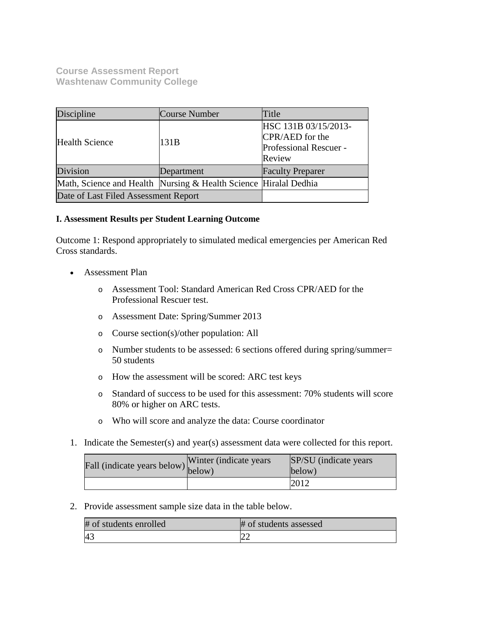**Course Assessment Report Washtenaw Community College**

| Discipline                                                       | Course Number | Title                                                                       |
|------------------------------------------------------------------|---------------|-----------------------------------------------------------------------------|
| <b>Health Science</b>                                            | 131B          | HSC 131B 03/15/2013-<br>CPR/AED for the<br>Professional Rescuer -<br>Review |
| Division                                                         | Department    | <b>Faculty Preparer</b>                                                     |
| Math, Science and Health Nursing & Health Science Hiralal Dedhia |               |                                                                             |
| Date of Last Filed Assessment Report                             |               |                                                                             |

# **I. Assessment Results per Student Learning Outcome**

Outcome 1: Respond appropriately to simulated medical emergencies per American Red Cross standards.

- Assessment Plan
	- o Assessment Tool: Standard American Red Cross CPR/AED for the Professional Rescuer test.
	- o Assessment Date: Spring/Summer 2013
	- o Course section(s)/other population: All
	- o Number students to be assessed: 6 sections offered during spring/summer= 50 students
	- o How the assessment will be scored: ARC test keys
	- o Standard of success to be used for this assessment: 70% students will score 80% or higher on ARC tests.
	- o Who will score and analyze the data: Course coordinator
- 1. Indicate the Semester(s) and year(s) assessment data were collected for this report.

| riall (indicate years below) below) | Winter (indicate years) | SP/SU (indicate years)<br>below) |
|-------------------------------------|-------------------------|----------------------------------|
|                                     |                         | 2012                             |

2. Provide assessment sample size data in the table below.

| # of students enrolled | # of students assessed |
|------------------------|------------------------|
| 4 <sup>3</sup>         |                        |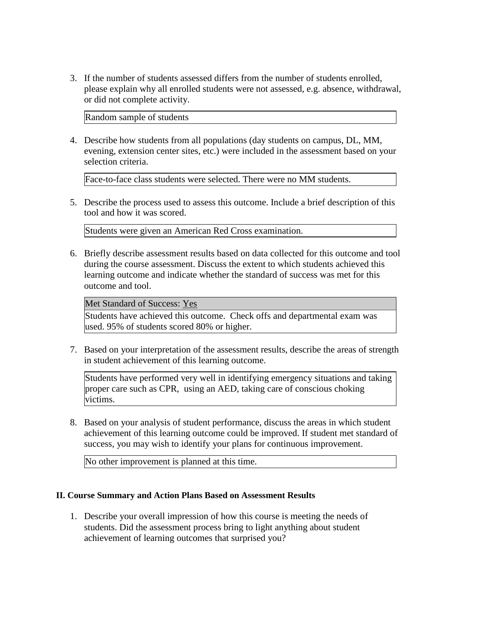3. If the number of students assessed differs from the number of students enrolled, please explain why all enrolled students were not assessed, e.g. absence, withdrawal, or did not complete activity.

Random sample of students

4. Describe how students from all populations (day students on campus, DL, MM, evening, extension center sites, etc.) were included in the assessment based on your selection criteria.

Face-to-face class students were selected. There were no MM students.

5. Describe the process used to assess this outcome. Include a brief description of this tool and how it was scored.

Students were given an American Red Cross examination.

6. Briefly describe assessment results based on data collected for this outcome and tool during the course assessment. Discuss the extent to which students achieved this learning outcome and indicate whether the standard of success was met for this outcome and tool.

## Met Standard of Success: Yes

Students have achieved this outcome. Check offs and departmental exam was used. 95% of students scored 80% or higher.

7. Based on your interpretation of the assessment results, describe the areas of strength in student achievement of this learning outcome.

Students have performed very well in identifying emergency situations and taking proper care such as CPR, using an AED, taking care of conscious choking victims.

8. Based on your analysis of student performance, discuss the areas in which student achievement of this learning outcome could be improved. If student met standard of success, you may wish to identify your plans for continuous improvement.

No other improvement is planned at this time.

# **II. Course Summary and Action Plans Based on Assessment Results**

1. Describe your overall impression of how this course is meeting the needs of students. Did the assessment process bring to light anything about student achievement of learning outcomes that surprised you?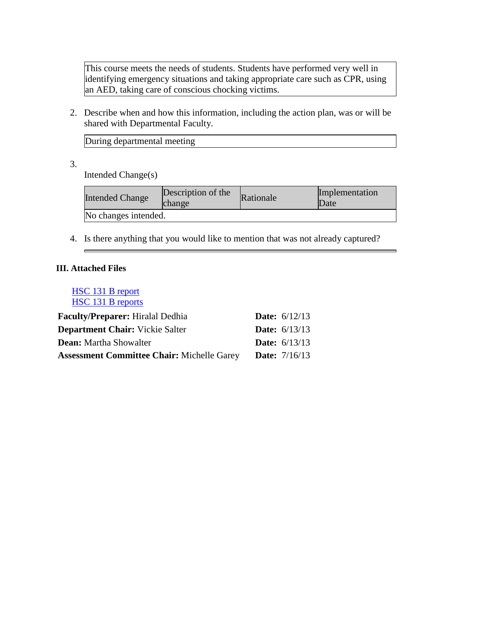This course meets the needs of students. Students have performed very well in identifying emergency situations and taking appropriate care such as CPR, using an AED, taking care of conscious chocking victims.

2. Describe when and how this information, including the action plan, was or will be shared with Departmental Faculty.

During departmental meeting

3.

Intended Change(s)

| <b>Intended Change</b> | Description of the<br>change | Rationale | Implementation<br>Date |
|------------------------|------------------------------|-----------|------------------------|
| No changes intended.   |                              |           |                        |

4. Is there anything that you would like to mention that was not already captured?

# **III. Attached Files**

# HSC 131 B report HSC 131 B reports

| <b>Faculty/Preparer:</b> Hiralal Dedhia           | <b>Date:</b> $6/12/13$ |
|---------------------------------------------------|------------------------|
| <b>Department Chair:</b> Vickie Salter            | <b>Date:</b> $6/13/13$ |
| <b>Dean:</b> Martha Showalter                     | <b>Date:</b> $6/13/13$ |
| <b>Assessment Committee Chair: Michelle Garey</b> | <b>Date:</b> $7/16/13$ |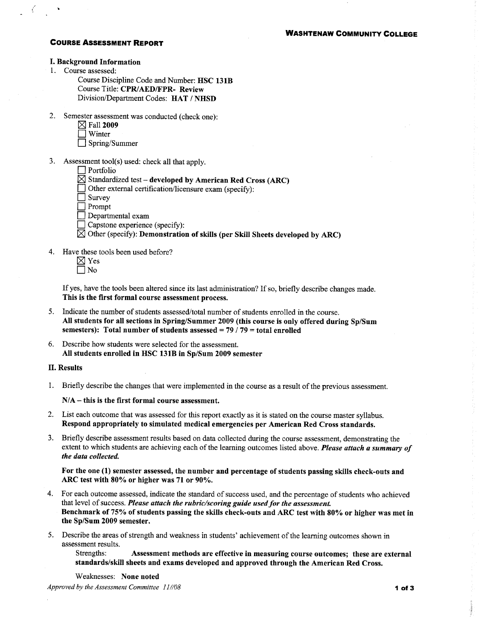### **COURSE ASSESSMENT REPORT**

#### **I. Background Information**

1. Course assessed:

 $\langle$ 

Course Discipline Code and Number: HSC 131B Course Title: CPR/AED/FPR- Review Division/Department Codes: HAT / NHSD

2. Semester assessment was conducted (check one):

|                    | $\boxtimes$ Fall 2009 |
|--------------------|-----------------------|
| ▔▔▎ <sub>***</sub> |                       |

- | Winter  $\Box$  Spring/Summer
	-
- 3. Assessment tool(s) used: check all that apply.
	- $\Box$  Portfolio
	- $\boxtimes$  Standardized test developed by American Red Cross (ARC)
	- $\Box$  Other external certification/licensure exam (specify):
	- Survey
	- $\Box$  Prompt
	- Departmental exam
	- $\Box$  Capstone experience (specify):

 $\boxtimes$  Other (specify): Demonstration of skills (per Skill Sheets developed by ARC)

4. Have these tools been used before?

If yes, have the tools been altered since its last administration? If so, briefly describe changes made. This is the first formal course assessment process.

- 5. Indicate the number of students assessed/total number of students enrolled in the course. All students for all sections in Spring/Summer 2009 (this course is only offered during Sp/Sum semesters): Total number of students assessed =  $79/79$  = total enrolled
- 6. Describe how students were selected for the assessment. All students enrolled in HSC 131B in Sp/Sum 2009 semester

### **II. Results**

1. Briefly describe the changes that were implemented in the course as a result of the previous assessment.

 $N/A$  – this is the first formal course assessment.

- 2. List each outcome that was assessed for this report exactly as it is stated on the course master syllabus. Respond appropriately to simulated medical emergencies per American Red Cross standards.
- Briefly describe assessment results based on data collected during the course assessment, demonstrating the  $3.$ extent to which students are achieving each of the learning outcomes listed above. Please attach a summary of the data collected.

For the one (1) semester assessed, the number and percentage of students passing skills check-outs and ARC test with 80% or higher was 71 or 90%.

- 4. For each outcome assessed, indicate the standard of success used, and the percentage of students who achieved that level of success. Please attach the rubric/scoring guide used for the assessment. Benchmark of 75% of students passing the skills check-outs and ARC test with 80% or higher was met in the Sp/Sum 2009 semester.
- 5. Describe the areas of strength and weakness in students' achievement of the learning outcomes shown in assessment results.

Assessment methods are effective in measuring course outcomes; these are external Strengths: standards/skill sheets and exams developed and approved through the American Red Cross.

Weaknesses: None noted Approved by the Assessment Committee 11//08